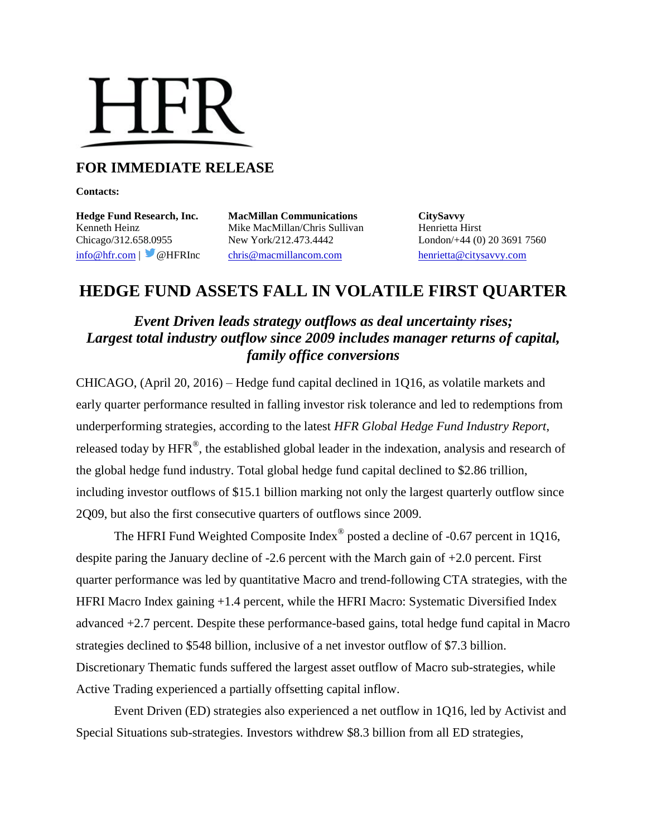# **HFR**

### **FOR IMMEDIATE RELEASE**

**Contacts:**

**Hedge Fund Research, Inc. MacMillan Communications CitySavvy** Kenneth Heinz **Mike MacMillan/Chris Sullivan** Henrietta Hirst Chicago/312.658.0955 New York/212.473.4442 London/+44 (0) 20 3691 7560 [info@hfr.com](mailto:info@hfr.com) | @HFRInc [chris@macmillancom.com](mailto:chris@macmillancom.com) [henrietta@citysavvy.com](mailto:henrietta@citysavvy.com)

# **HEDGE FUND ASSETS FALL IN VOLATILE FIRST QUARTER**

### *Event Driven leads strategy outflows as deal uncertainty rises; Largest total industry outflow since 2009 includes manager returns of capital, family office conversions*

CHICAGO, (April 20, 2016) – Hedge fund capital declined in 1Q16, as volatile markets and early quarter performance resulted in falling investor risk tolerance and led to redemptions from underperforming strategies, according to the latest *HFR Global Hedge Fund Industry Report*, released today by HFR<sup>®</sup>, the established global leader in the indexation, analysis and research of the global hedge fund industry. Total global hedge fund capital declined to \$2.86 trillion, including investor outflows of \$15.1 billion marking not only the largest quarterly outflow since 2Q09, but also the first consecutive quarters of outflows since 2009.

The HFRI Fund Weighted Composite Index<sup>®</sup> posted a decline of -0.67 percent in 1Q16, despite paring the January decline of -2.6 percent with the March gain of +2.0 percent. First quarter performance was led by quantitative Macro and trend-following CTA strategies, with the HFRI Macro Index gaining +1.4 percent, while the HFRI Macro: Systematic Diversified Index advanced +2.7 percent. Despite these performance-based gains, total hedge fund capital in Macro strategies declined to \$548 billion, inclusive of a net investor outflow of \$7.3 billion. Discretionary Thematic funds suffered the largest asset outflow of Macro sub-strategies, while Active Trading experienced a partially offsetting capital inflow.

Event Driven (ED) strategies also experienced a net outflow in 1Q16, led by Activist and Special Situations sub-strategies. Investors withdrew \$8.3 billion from all ED strategies,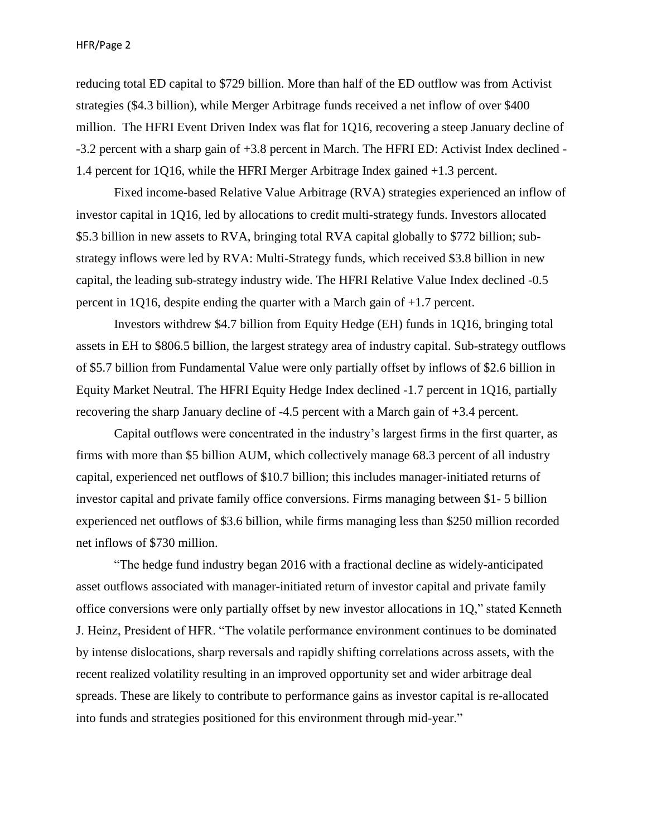reducing total ED capital to \$729 billion. More than half of the ED outflow was from Activist strategies (\$4.3 billion), while Merger Arbitrage funds received a net inflow of over \$400 million. The HFRI Event Driven Index was flat for 1Q16, recovering a steep January decline of -3.2 percent with a sharp gain of +3.8 percent in March. The HFRI ED: Activist Index declined - 1.4 percent for 1Q16, while the HFRI Merger Arbitrage Index gained +1.3 percent.

Fixed income-based Relative Value Arbitrage (RVA) strategies experienced an inflow of investor capital in 1Q16, led by allocations to credit multi-strategy funds. Investors allocated \$5.3 billion in new assets to RVA, bringing total RVA capital globally to \$772 billion; substrategy inflows were led by RVA: Multi-Strategy funds, which received \$3.8 billion in new capital, the leading sub-strategy industry wide. The HFRI Relative Value Index declined -0.5 percent in 1Q16, despite ending the quarter with a March gain of +1.7 percent.

Investors withdrew \$4.7 billion from Equity Hedge (EH) funds in 1Q16, bringing total assets in EH to \$806.5 billion, the largest strategy area of industry capital. Sub-strategy outflows of \$5.7 billion from Fundamental Value were only partially offset by inflows of \$2.6 billion in Equity Market Neutral. The HFRI Equity Hedge Index declined -1.7 percent in 1Q16, partially recovering the sharp January decline of -4.5 percent with a March gain of +3.4 percent.

Capital outflows were concentrated in the industry's largest firms in the first quarter, as firms with more than \$5 billion AUM, which collectively manage 68.3 percent of all industry capital, experienced net outflows of \$10.7 billion; this includes manager-initiated returns of investor capital and private family office conversions. Firms managing between \$1- 5 billion experienced net outflows of \$3.6 billion, while firms managing less than \$250 million recorded net inflows of \$730 million.

"The hedge fund industry began 2016 with a fractional decline as widely-anticipated asset outflows associated with manager-initiated return of investor capital and private family office conversions were only partially offset by new investor allocations in 1Q," stated Kenneth J. Heinz, President of HFR. "The volatile performance environment continues to be dominated by intense dislocations, sharp reversals and rapidly shifting correlations across assets, with the recent realized volatility resulting in an improved opportunity set and wider arbitrage deal spreads. These are likely to contribute to performance gains as investor capital is re-allocated into funds and strategies positioned for this environment through mid-year."